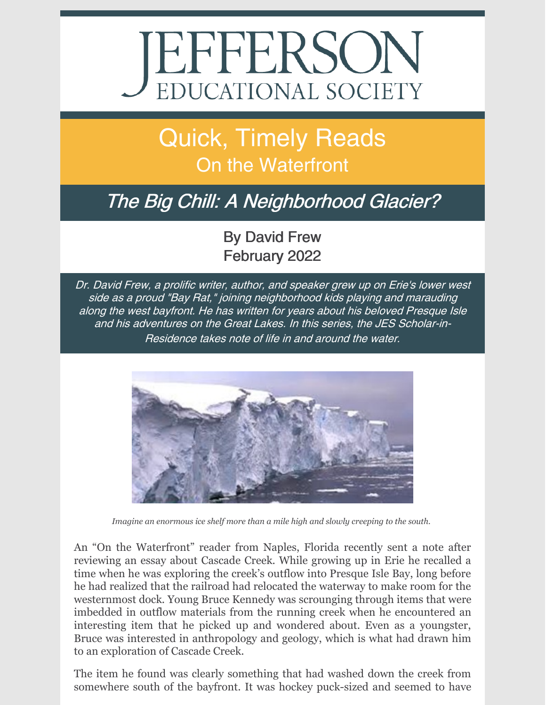# EFFERSON

## Quick, Timely Reads **On the Waterfront**

## The Big Chill: A Neighborhood Glacier?

### By David Frew February 2022

Dr. David Frew, <sup>a</sup> prolific writer, author, and speaker grew up on Erie's lower west side as <sup>a</sup> proud "Bay Rat," joining neighborhood kids playing and marauding along the west bayfront. He has written for years about his beloved Presque Isle and his adventures on the Great Lakes. In this series, the JES Scholar-in-Residence takes note of life in and around the water.



*Imagine an enormous ice shelf more than a mile high and slowly creeping to the south.*

An "On the Waterfront" reader from Naples, Florida recently sent a note after reviewing an essay about Cascade Creek. While growing up in Erie he recalled a time when he was exploring the creek's outflow into Presque Isle Bay, long before he had realized that the railroad had relocated the waterway to make room for the westernmost dock. Young Bruce Kennedy was scrounging through items that were imbedded in outflow materials from the running creek when he encountered an interesting item that he picked up and wondered about. Even as a youngster, Bruce was interested in anthropology and geology, which is what had drawn him to an exploration of Cascade Creek.

The item he found was clearly something that had washed down the creek from somewhere south of the bayfront. It was hockey puck-sized and seemed to have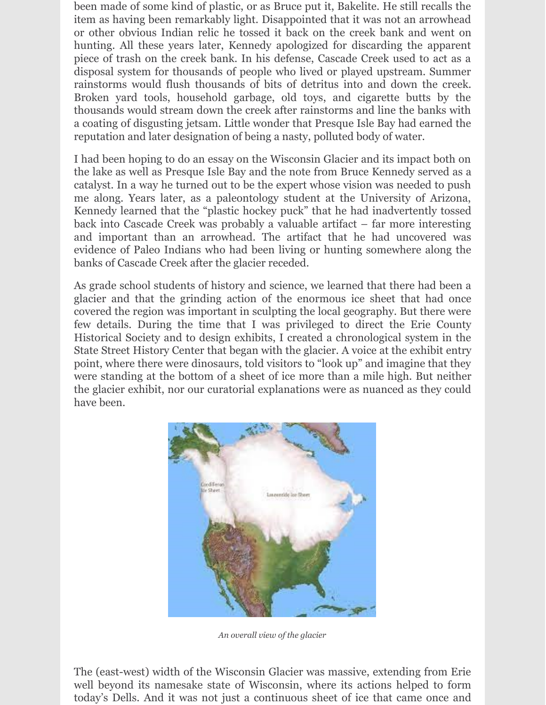been made of some kind of plastic, or as Bruce put it, Bakelite. He still recalls the item as having been remarkably light. Disappointed that it was not an arrowhead or other obvious Indian relic he tossed it back on the creek bank and went on hunting. All these years later, Kennedy apologized for discarding the apparent piece of trash on the creek bank. In his defense, Cascade Creek used to act as a disposal system for thousands of people who lived or played upstream. Summer rainstorms would flush thousands of bits of detritus into and down the creek. Broken yard tools, household garbage, old toys, and cigarette butts by the thousands would stream down the creek after rainstorms and line the banks with a coating of disgusting jetsam. Little wonder that Presque Isle Bay had earned the reputation and later designation of being a nasty, polluted body of water.

I had been hoping to do an essay on the Wisconsin Glacier and its impact both on the lake as well as Presque Isle Bay and the note from Bruce Kennedy served as a catalyst. In a way he turned out to be the expert whose vision was needed to push me along. Years later, as a paleontology student at the University of Arizona, Kennedy learned that the "plastic hockey puck" that he had inadvertently tossed back into Cascade Creek was probably a valuable artifact – far more interesting and important than an arrowhead. The artifact that he had uncovered was evidence of Paleo Indians who had been living or hunting somewhere along the banks of Cascade Creek after the glacier receded.

As grade school students of history and science, we learned that there had been a glacier and that the grinding action of the enormous ice sheet that had once covered the region was important in sculpting the local geography. But there were few details. During the time that I was privileged to direct the Erie County Historical Society and to design exhibits, I created a chronological system in the State Street History Center that began with the glacier. A voice at the exhibit entry point, where there were dinosaurs, told visitors to "look up" and imagine that they were standing at the bottom of a sheet of ice more than a mile high. But neither the glacier exhibit, nor our curatorial explanations were as nuanced as they could have been.



*An overall view of the glacier*

The (east-west) width of the Wisconsin Glacier was massive, extending from Erie well beyond its namesake state of Wisconsin, where its actions helped to form today's Dells. And it was not just a continuous sheet of ice that came once and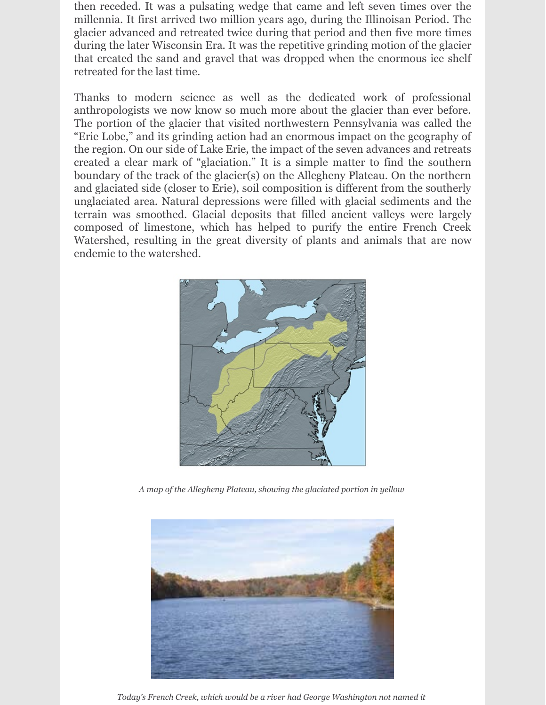then receded. It was a pulsating wedge that came and left seven times over the millennia. It first arrived two million years ago, during the Illinoisan Period. The glacier advanced and retreated twice during that period and then five more times during the later Wisconsin Era. It was the repetitive grinding motion of the glacier that created the sand and gravel that was dropped when the enormous ice shelf retreated for the last time.

Thanks to modern science as well as the dedicated work of professional anthropologists we now know so much more about the glacier than ever before. The portion of the glacier that visited northwestern Pennsylvania was called the "Erie Lobe," and its grinding action had an enormous impact on the geography of the region. On our side of Lake Erie, the impact of the seven advances and retreats created a clear mark of "glaciation." It is a simple matter to find the southern boundary of the track of the glacier(s) on the Allegheny Plateau. On the northern and glaciated side (closer to Erie), soil composition is different from the southerly unglaciated area. Natural depressions were filled with glacial sediments and the terrain was smoothed. Glacial deposits that filled ancient valleys were largely composed of limestone, which has helped to purify the entire French Creek Watershed, resulting in the great diversity of plants and animals that are now endemic to the watershed.



*A map of the Allegheny Plateau, showing the glaciated portion in yellow*



*Today's French Creek, which would be a river had George Washington not named it*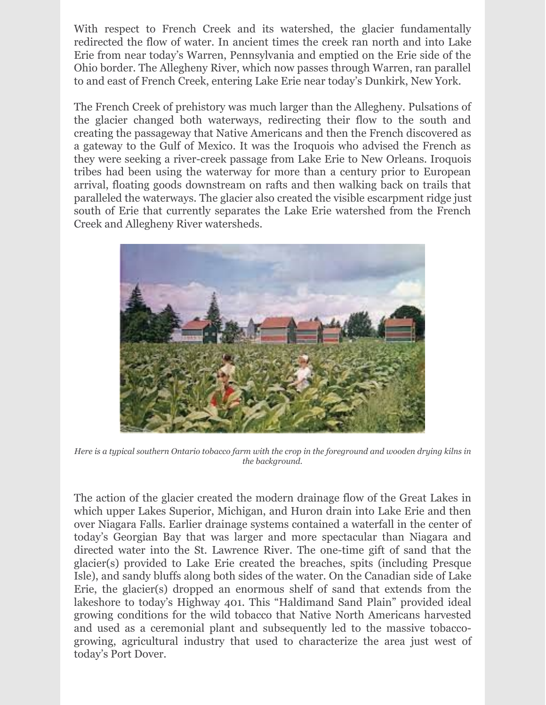With respect to French Creek and its watershed, the glacier fundamentally redirected the flow of water. In ancient times the creek ran north and into Lake Erie from near today's Warren, Pennsylvania and emptied on the Erie side of the Ohio border. The Allegheny River, which now passes through Warren, ran parallel to and east of French Creek, entering Lake Erie near today's Dunkirk, New York.

The French Creek of prehistory was much larger than the Allegheny. Pulsations of the glacier changed both waterways, redirecting their flow to the south and creating the passageway that Native Americans and then the French discovered as a gateway to the Gulf of Mexico. It was the Iroquois who advised the French as they were seeking a river-creek passage from Lake Erie to New Orleans. Iroquois tribes had been using the waterway for more than a century prior to European arrival, floating goods downstream on rafts and then walking back on trails that paralleled the waterways. The glacier also created the visible escarpment ridge just south of Erie that currently separates the Lake Erie watershed from the French Creek and Allegheny River watersheds.



Here is a typical southern Ontario tobacco farm with the crop in the foreground and wooden drying kilns in *the background.*

The action of the glacier created the modern drainage flow of the Great Lakes in which upper Lakes Superior, Michigan, and Huron drain into Lake Erie and then over Niagara Falls. Earlier drainage systems contained a waterfall in the center of today's Georgian Bay that was larger and more spectacular than Niagara and directed water into the St. Lawrence River. The one-time gift of sand that the glacier(s) provided to Lake Erie created the breaches, spits (including Presque Isle), and sandy bluffs along both sides of the water. On the Canadian side of Lake Erie, the glacier(s) dropped an enormous shelf of sand that extends from the lakeshore to today's Highway 401. This "Haldimand Sand Plain" provided ideal growing conditions for the wild tobacco that Native North Americans harvested and used as a ceremonial plant and subsequently led to the massive tobaccogrowing, agricultural industry that used to characterize the area just west of today's Port Dover.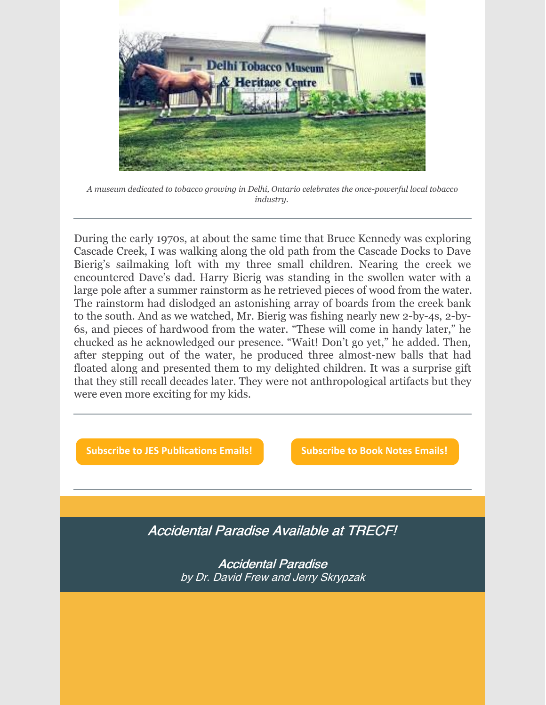

*A museum dedicated to tobacco growing in Delhi, Ontario celebrates the once-powerful local tobacco industry.*

During the early 1970s, at about the same time that Bruce Kennedy was exploring Cascade Creek, I was walking along the old path from the Cascade Docks to Dave Bierig's sailmaking loft with my three small children. Nearing the creek we encountered Dave's dad. Harry Bierig was standing in the swollen water with a large pole after a summer rainstorm as he retrieved pieces of wood from the water. The rainstorm had dislodged an astonishing array of boards from the creek bank to the south. And as we watched, Mr. Bierig was fishing nearly new 2-by-4s, 2-by-6s, and pieces of hardwood from the water. "These will come in handy later," he chucked as he acknowledged our presence. "Wait! Don't go yet," he added. Then, after stepping out of the water, he produced three almost-new balls that had floated along and presented them to my delighted children. It was a surprise gift that they still recall decades later. They were not anthropological artifacts but they were even more exciting for my kids.

**Subscribe to JES [Publications](https://lp.constantcontactpages.com/su/OYSOPRt/PublicationsSubscription?source_id=47c05bed-9dca-447b-8ddb-eedf3ab8dac3&source_type=em&c=) Emails! [Subscribe](https://lp.constantcontactpages.com/su/TXbaxH2/BookNotesSubscription?source_id=47c05bed-9dca-447b-8ddb-eedf3ab8dac3&source_type=em&c=) to Book Notes Emails!**

Accidental Paradise Available at TRECF!

Accidental Paradise by Dr. David Frew and Jerry Skrypzak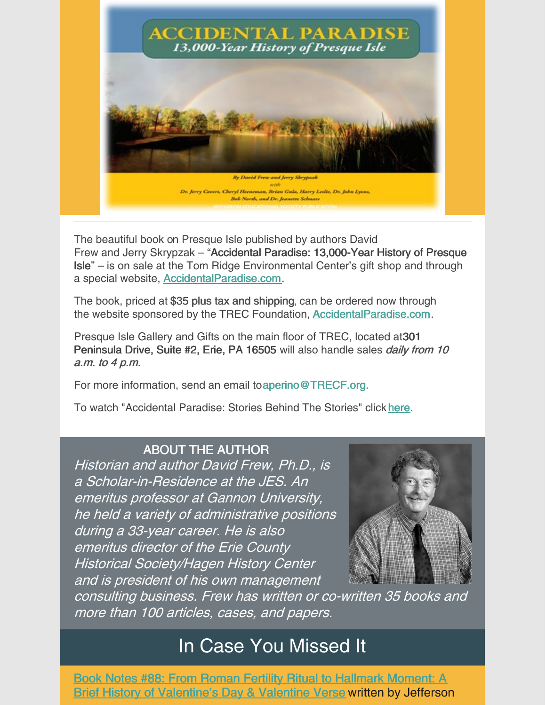

The beautiful book on Presque Isle published by authors David Frew and Jerry Skrypzak – "Accidental Paradise: 13,000-Year History of Presque Isle" – is on sale at the Tom Ridge Environmental Center's gift shop and through a special website, [AccidentalParadise.com](http://r20.rs6.net/tn.jsp?f=001EIJ4bWInbAgZbfubFkRC6CJbiNPBnDNmlUevQbPeCp1CHyPy1PudVT_GBGMKCgQkI5_hxwzW8RAuM_JPgy-OW4cwbEtSpi2bXvIzjjPOzDvf5Za4YQ6DXvK7wLRR56asG7Ya4wMn-TbrCz2fsITPjg==&c=WAaU3N0-L4YGB3ynOn-kUkgM_yiuLjPWr84Za7eXf1C6hqLg9eYUwQ==&ch=CjD0a-KMcO9BAvzxTmthj-rGDyoqC43eKwiy7Xv9UvzdH29THLJyEw==).

The book, priced at \$35 plus tax and shipping, can be ordered now through the website sponsored by the TREC Foundation, [AccidentalParadise.com](http://r20.rs6.net/tn.jsp?f=001EIJ4bWInbAgZbfubFkRC6CJbiNPBnDNmlUevQbPeCp1CHyPy1PudVSoSqIsYDhcA2SVqGDFbvwXgwDL8Czp1wjUocXtAllu6z186Q0Y8g_KhSkRdZX9w7zBMb3-ovne_jE0DF8YyX2sBzca0-7AbuWORKrz902cn9WpYIdN3_Ho=&c=WAaU3N0-L4YGB3ynOn-kUkgM_yiuLjPWr84Za7eXf1C6hqLg9eYUwQ==&ch=CjD0a-KMcO9BAvzxTmthj-rGDyoqC43eKwiy7Xv9UvzdH29THLJyEw==).

Presque Isle Gallery and Gifts on the main floor of TREC, located at301 Peninsula Drive, Suite #2, Erie, PA 16505 will also handle sales *daily from 10* a.m. to 4 p.m.

For more information, send an email to aperino@TRECF.org.

To watch "Accidental Paradise: Stories Behind The Stories" click [here](http://r20.rs6.net/tn.jsp?f=001EIJ4bWInbAgZbfubFkRC6CJbiNPBnDNmlUevQbPeCp1CHyPy1PudVSoSqIsYDhcADYmNoBPGxBZ1-4y1KleSguYPYDvB1zSMRerJBfcuaLH0e3z_VX77sufLH-MJ5RyfuLkHkTbnhg5-strVFZTtBg==&c=WAaU3N0-L4YGB3ynOn-kUkgM_yiuLjPWr84Za7eXf1C6hqLg9eYUwQ==&ch=CjD0a-KMcO9BAvzxTmthj-rGDyoqC43eKwiy7Xv9UvzdH29THLJyEw==).

#### ABOUT THE AUTHOR

Historian and author David Frew, Ph.D., is a Scholar-in-Residence at the JES. An emeritus professor at Gannon University, he held <sup>a</sup> variety of administrative positions during <sup>a</sup> 33-year career. He is also emeritus director of the Erie County Historical Society/Hagen History Center and is president of his own management



consulting business. Frew has written or co-written 35 books and more than 100 articles, cases, and papers.

## In Case You Missed It

Book Notes #88: From Roman Fertility Ritual to Hallmark Moment: A Brief History of [Valentine's](https://www.jeserie.org/uploads/Essays/Book Notes 88 From Roman Fertility Ritual to Hallmark Moment.pdf) Day & Valentine Verse written by Jefferson